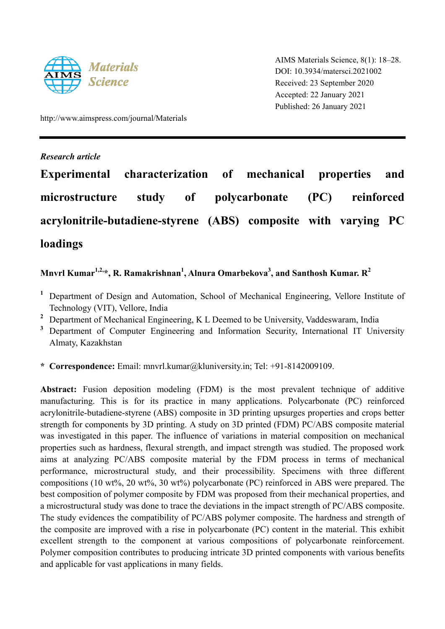

AIMS Materials Science, 8(1): 18–28. DOI: 10.3934/matersci.2021002 Received: 23 September 2020 Accepted: 22 January 2021 Published: 26 January 2021

http://www.aimspress.com/journal/Materials

# *Research article*

**Experimental characterization of mechanical properties and microstructure study of polycarbonate (PC) reinforced acrylonitrile-butadiene-styrene (ABS) composite with varying PC loadings** 

# **Mnvrl Kumar1,2,\*, R. Ramakrishnan<sup>1</sup> , Alnura Omarbekova<sup>3</sup> , and Santhosh Kumar. R<sup>2</sup>**

- <sup>1</sup> Department of Design and Automation, School of Mechanical Engineering, Vellore Institute of Technology (VIT), Vellore, India
- <sup>2</sup> Department of Mechanical Engineering, K L Deemed to be University, Vaddeswaram, India
- <sup>3</sup> Department of Computer Engineering and Information Security, International IT University Almaty, Kazakhstan
- **\* Correspondence:** Email: mnvrl.kumar@kluniversity.in; Tel: +91-8142009109.

Abstract: Fusion deposition modeling (FDM) is the most prevalent technique of additive manufacturing. This is for its practice in many applications. Polycarbonate (PC) reinforced acrylonitrile-butadiene-styrene (ABS) composite in 3D printing upsurges properties and crops better strength for components by 3D printing. A study on 3D printed (FDM) PC/ABS composite material was investigated in this paper. The influence of variations in material composition on mechanical properties such as hardness, flexural strength, and impact strength was studied. The proposed work aims at analyzing PC/ABS composite material by the FDM process in terms of mechanical performance, microstructural study, and their processibility. Specimens with three different compositions (10 wt%, 20 wt%, 30 wt%) polycarbonate (PC) reinforced in ABS were prepared. The best composition of polymer composite by FDM was proposed from their mechanical properties, and a microstructural study was done to trace the deviations in the impact strength of PC/ABS composite. The study evidences the compatibility of PC/ABS polymer composite. The hardness and strength of the composite are improved with a rise in polycarbonate (PC) content in the material. This exhibit excellent strength to the component at various compositions of polycarbonate reinforcement. Polymer composition contributes to producing intricate 3D printed components with various benefits and applicable for vast applications in many fields.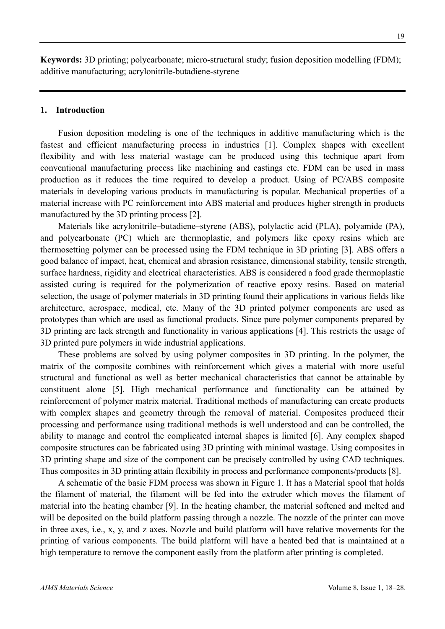**Keywords:** 3D printing; polycarbonate; micro-structural study; fusion deposition modelling (FDM); additive manufacturing; acrylonitrile-butadiene-styrene

### **1. Introduction**

Fusion deposition modeling is one of the techniques in additive manufacturing which is the fastest and efficient manufacturing process in industries [1]. Complex shapes with excellent flexibility and with less material wastage can be produced using this technique apart from conventional manufacturing process like machining and castings etc. FDM can be used in mass production as it reduces the time required to develop a product. Using of PC/ABS composite materials in developing various products in manufacturing is popular. Mechanical properties of a material increase with PC reinforcement into ABS material and produces higher strength in products manufactured by the 3D printing process [2].

Materials like acrylonitrile–butadiene–styrene (ABS), polylactic acid (PLA), polyamide (PA), and polycarbonate (PC) which are thermoplastic, and polymers like epoxy resins which are thermosetting polymer can be processed using the FDM technique in 3D printing [3]. ABS offers a good balance of impact, heat, chemical and abrasion resistance, dimensional stability, tensile strength, surface hardness, rigidity and electrical characteristics. ABS is considered a food grade thermoplastic assisted curing is required for the polymerization of reactive epoxy resins. Based on material selection, the usage of polymer materials in 3D printing found their applications in various fields like architecture, aerospace, medical, etc. Many of the 3D printed polymer components are used as prototypes than which are used as functional products. Since pure polymer components prepared by 3D printing are lack strength and functionality in various applications [4]. This restricts the usage of 3D printed pure polymers in wide industrial applications.

These problems are solved by using polymer composites in 3D printing. In the polymer, the matrix of the composite combines with reinforcement which gives a material with more useful structural and functional as well as better mechanical characteristics that cannot be attainable by constituent alone [5]. High mechanical performance and functionality can be attained by reinforcement of polymer matrix material. Traditional methods of manufacturing can create products with complex shapes and geometry through the removal of material. Composites produced their processing and performance using traditional methods is well understood and can be controlled, the ability to manage and control the complicated internal shapes is limited [6]. Any complex shaped composite structures can be fabricated using 3D printing with minimal wastage. Using composites in 3D printing shape and size of the component can be precisely controlled by using CAD techniques. Thus composites in 3D printing attain flexibility in process and performance components/products [8].

A schematic of the basic FDM process was shown in Figure 1. It has a Material spool that holds the filament of material, the filament will be fed into the extruder which moves the filament of material into the heating chamber [9]. In the heating chamber, the material softened and melted and will be deposited on the build platform passing through a nozzle. The nozzle of the printer can move in three axes, i.e., x, y, and z axes. Nozzle and build platform will have relative movements for the printing of various components. The build platform will have a heated bed that is maintained at a high temperature to remove the component easily from the platform after printing is completed.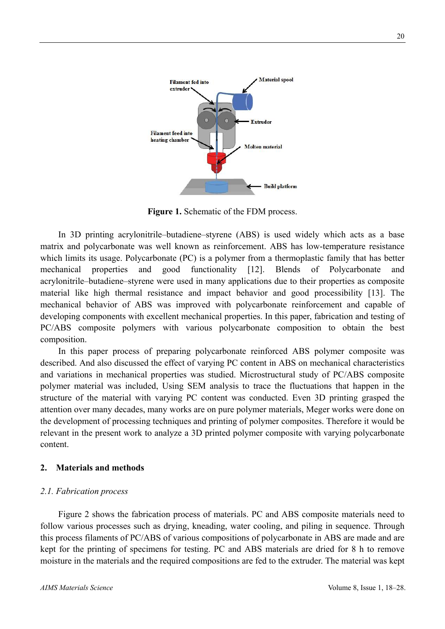

**Figure 1.** Schematic of the FDM process.

In 3D printing acrylonitrile–butadiene–styrene (ABS) is used widely which acts as a base matrix and polycarbonate was well known as reinforcement. ABS has low-temperature resistance which limits its usage. Polycarbonate (PC) is a polymer from a thermoplastic family that has better mechanical properties and good functionality [12]. Blends of Polycarbonate and acrylonitrile–butadiene–styrene were used in many applications due to their properties as composite material like high thermal resistance and impact behavior and good processibility [13]. The mechanical behavior of ABS was improved with polycarbonate reinforcement and capable of developing components with excellent mechanical properties. In this paper, fabrication and testing of PC/ABS composite polymers with various polycarbonate composition to obtain the best composition.

In this paper process of preparing polycarbonate reinforced ABS polymer composite was described. And also discussed the effect of varying PC content in ABS on mechanical characteristics and variations in mechanical properties was studied. Microstructural study of PC/ABS composite polymer material was included, Using SEM analysis to trace the fluctuations that happen in the structure of the material with varying PC content was conducted. Even 3D printing grasped the attention over many decades, many works are on pure polymer materials, Meger works were done on the development of processing techniques and printing of polymer composites. Therefore it would be relevant in the present work to analyze a 3D printed polymer composite with varying polycarbonate content.

#### **2. Materials and methods**

#### *2.1. Fabrication process*

Figure 2 shows the fabrication process of materials. PC and ABS composite materials need to follow various processes such as drying, kneading, water cooling, and piling in sequence. Through this process filaments of PC/ABS of various compositions of polycarbonate in ABS are made and are kept for the printing of specimens for testing. PC and ABS materials are dried for 8 h to remove moisture in the materials and the required compositions are fed to the extruder. The material was kept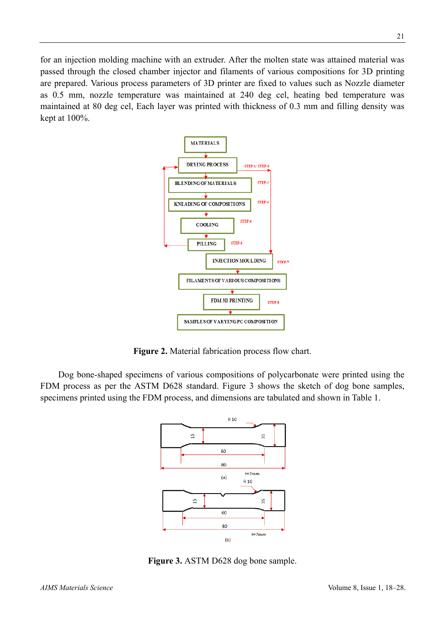for an injection molding machine with an extruder. After the molten state was attained material was passed through the closed chamber injector and filaments of various compositions for 3D printing are prepared. Various process parameters of 3D printer are fixed to values such as Nozzle diameter as 0.5 mm, nozzle temperature was maintained at 240 deg cel, heating bed temperature was maintained at 80 deg cel, Each layer was printed with thickness of 0.3 mm and filling density was kept at 100%.



**Figure 2.** Material fabrication process flow chart.

Dog bone-shaped specimens of various compositions of polycarbonate were printed using the FDM process as per the ASTM D628 standard. Figure 3 shows the sketch of dog bone samples, specimens printed using the FDM process, and dimensions are tabulated and shown in Table 1.



**Figure 3.** ASTM D628 dog bone sample.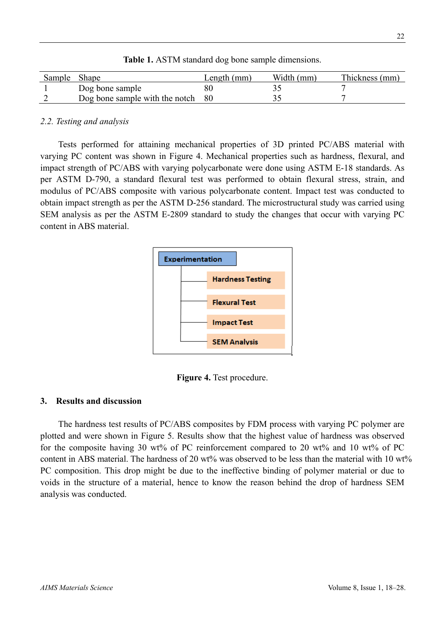| Sample Shape |                                     | Length $(mm)$ | Width (mm) | Thickness (mm) |
|--------------|-------------------------------------|---------------|------------|----------------|
|              | Dog bone sample                     |               |            |                |
|              | Dog bone sample with the notch $80$ |               |            |                |

**Table 1.** ASTM standard dog bone sample dimensions.

# *2.2. Testing and analysis*

Tests performed for attaining mechanical properties of 3D printed PC/ABS material with varying PC content was shown in Figure 4. Mechanical properties such as hardness, flexural, and impact strength of PC/ABS with varying polycarbonate were done using ASTM E-18 standards. As per ASTM D-790, a standard flexural test was performed to obtain flexural stress, strain, and modulus of PC/ABS composite with various polycarbonate content. Impact test was conducted to obtain impact strength as per the ASTM D-256 standard. The microstructural study was carried using SEM analysis as per the ASTM E-2809 standard to study the changes that occur with varying PC content in ABS material.



**Figure 4.** Test procedure.

# **3. Results and discussion**

The hardness test results of PC/ABS composites by FDM process with varying PC polymer are plotted and were shown in Figure 5. Results show that the highest value of hardness was observed for the composite having 30 wt% of PC reinforcement compared to 20 wt% and 10 wt% of PC content in ABS material. The hardness of 20 wt% was observed to be less than the material with 10 wt% PC composition. This drop might be due to the ineffective binding of polymer material or due to voids in the structure of a material, hence to know the reason behind the drop of hardness SEM analysis was conducted.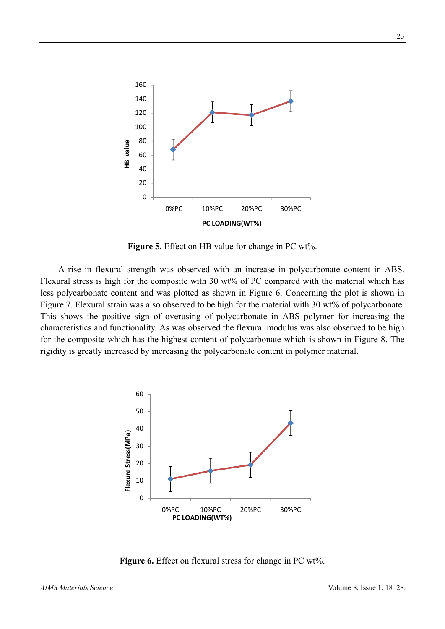

Figure 5. Effect on HB value for change in PC wt%.

A rise in flexural strength was observed with an increase in polycarbonate content in ABS. Flexural stress is high for the composite with 30 wt% of PC compared with the material which has less polycarbonate content and was plotted as shown in Figure 6. Concerning the plot is shown in Figure 7. Flexural strain was also observed to be high for the material with 30 wt% of polycarbonate. This shows the positive sign of overusing of polycarbonate in ABS polymer for increasing the characteristics and functionality. As was observed the flexural modulus was also observed to be high for the composite which has the highest content of polycarbonate which is shown in Figure 8. The rigidity is greatly increased by increasing the polycarbonate content in polymer material.



Figure 6. Effect on flexural stress for change in PC wt%.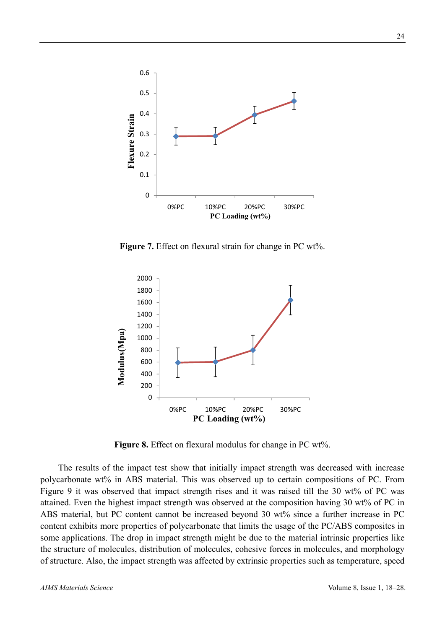

Figure 7. Effect on flexural strain for change in PC wt<sup>%</sup>.



**Figure 8.** Effect on flexural modulus for change in PC wt%.

The results of the impact test show that initially impact strength was decreased with increase polycarbonate wt% in ABS material. This was observed up to certain compositions of PC. From Figure 9 it was observed that impact strength rises and it was raised till the 30 wt% of PC was attained. Even the highest impact strength was observed at the composition having 30 wt% of PC in ABS material, but PC content cannot be increased beyond 30 wt% since a further increase in PC content exhibits more properties of polycarbonate that limits the usage of the PC/ABS composites in some applications. The drop in impact strength might be due to the material intrinsic properties like the structure of molecules, distribution of molecules, cohesive forces in molecules, and morphology of structure. Also, the impact strength was affected by extrinsic properties such as temperature, speed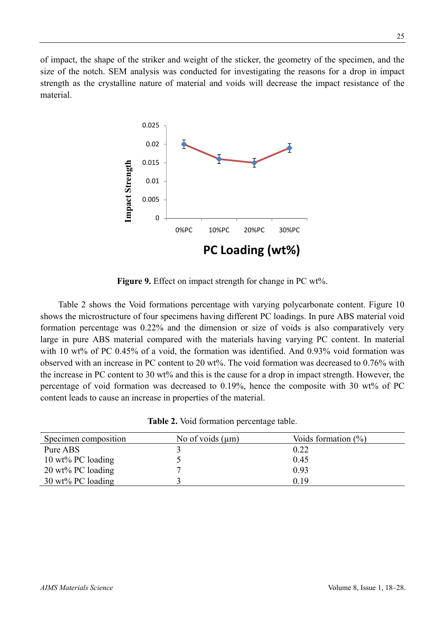of impact, the shape of the striker and weight of the sticker, the geometry of the specimen, and the size of the notch. SEM analysis was conducted for investigating the reasons for a drop in impact strength as the crystalline nature of material and voids will decrease the impact resistance of the material.



Figure 9. Effect on impact strength for change in PC wt%.

Table 2 shows the Void formations percentage with varying polycarbonate content. Figure 10 shows the microstructure of four specimens having different PC loadings. In pure ABS material void formation percentage was 0.22% and the dimension or size of voids is also comparatively very large in pure ABS material compared with the materials having varying PC content. In material with 10 wt% of PC 0.45% of a void, the formation was identified. And 0.93% void formation was observed with an increase in PC content to 20 wt%. The void formation was decreased to 0.76% with the increase in PC content to 30 wt% and this is the cause for a drop in impact strength. However, the percentage of void formation was decreased to 0.19%, hence the composite with 30 wt% of PC content leads to cause an increase in properties of the material.

|  |  |  | Table 2. Void formation percentage table. |  |
|--|--|--|-------------------------------------------|--|
|--|--|--|-------------------------------------------|--|

| Specimen composition         | No of voids $(\mu m)$ | Voids formation $(\% )$ |
|------------------------------|-----------------------|-------------------------|
| Pure ABS                     |                       | 0.22                    |
| $10 \text{ wt}$ % PC loading |                       | 0.45                    |
| $20 \text{ wt}$ % PC loading |                       | 0.93                    |
| $30 \text{ wt\% PC loading}$ |                       | 0.19                    |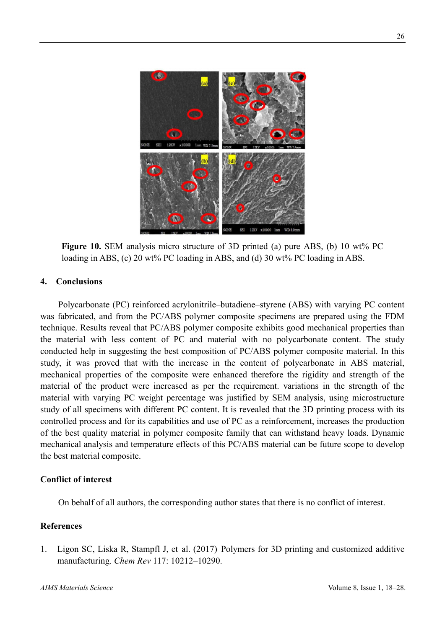

**Figure 10.** SEM analysis micro structure of 3D printed (a) pure ABS, (b) 10 wt% PC loading in ABS, (c) 20 wt% PC loading in ABS, and (d) 30 wt% PC loading in ABS.

### **4. Conclusions**

Polycarbonate (PC) reinforced acrylonitrile–butadiene–styrene (ABS) with varying PC content was fabricated, and from the PC/ABS polymer composite specimens are prepared using the FDM technique. Results reveal that PC/ABS polymer composite exhibits good mechanical properties than the material with less content of PC and material with no polycarbonate content. The study conducted help in suggesting the best composition of PC/ABS polymer composite material. In this study, it was proved that with the increase in the content of polycarbonate in ABS material, mechanical properties of the composite were enhanced therefore the rigidity and strength of the material of the product were increased as per the requirement. variations in the strength of the material with varying PC weight percentage was justified by SEM analysis, using microstructure study of all specimens with different PC content. It is revealed that the 3D printing process with its controlled process and for its capabilities and use of PC as a reinforcement, increases the production of the best quality material in polymer composite family that can withstand heavy loads. Dynamic mechanical analysis and temperature effects of this PC/ABS material can be future scope to develop the best material composite.

# **Conflict of interest**

On behalf of all authors, the corresponding author states that there is no conflict of interest.

### **References**

1. Ligon SC, Liska R, Stampfl J, et al. (2017) Polymers for 3D printing and customized additive manufacturing. *Chem Rev* 117: 10212–10290.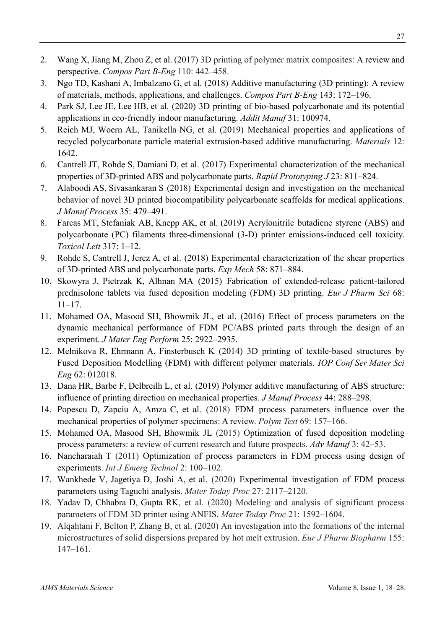- 2. Wang X, Jiang M, Zhou Z, et al. (2017) 3D printing of polymer matrix composites: A review and perspective. *Compos Part B-Eng* 110: 442–458.
- 3. Ngo TD, Kashani A, Imbalzano G, et al. (2018) Additive manufacturing (3D printing): A review of materials, methods, applications, and challenges. *Compos Part B-Eng* 143: 172–196.
- 4. Park SJ, Lee JE, Lee HB, et al. (2020) 3D printing of bio-based polycarbonate and its potential applications in eco-friendly indoor manufacturing. *Addit Manuf* 31: 100974.
- 5. Reich MJ, Woern AL, Tanikella NG, et al. (2019) Mechanical properties and applications of recycled polycarbonate particle material extrusion-based additive manufacturing. *Materials* 12: 1642.
- *6.* Cantrell JT, Rohde S, Damiani D, et al. (2017) Experimental characterization of the mechanical properties of 3D-printed ABS and polycarbonate parts. *Rapid Prototyping J* 23: 811–824.
- 7. Alaboodi AS, Sivasankaran S (2018) Experimental design and investigation on the mechanical behavior of novel 3D printed biocompatibility polycarbonate scaffolds for medical applications. *J Manuf Process* 35: 479–491.
- 8. Farcas MT, Stefaniak AB, Knepp AK, et al. (2019) Acrylonitrile butadiene styrene (ABS) and polycarbonate (PC) filaments three-dimensional (3-D) printer emissions-induced cell toxicity. *Toxicol Lett* 317: 1–12.
- 9. Rohde S, Cantrell J, Jerez A, et al. (2018) Experimental characterization of the shear properties of 3D-printed ABS and polycarbonate parts. *Exp Mech* 58: 871–884.
- 10. Skowyra J, Pietrzak K, Alhnan MA (2015) Fabrication of extended-release patient-tailored prednisolone tablets via fused deposition modeling (FDM) 3D printing. *Eur J Pharm Sci* 68: 11–17.
- 11. Mohamed OA, Masood SH, Bhowmik JL, et al. (2016) Effect of process parameters on the dynamic mechanical performance of FDM PC/ABS printed parts through the design of an experiment. *J Mater Eng Perform* 25: 2922–2935.
- 12. Melnikova R, Ehrmann A, Finsterbusch K (2014) 3D printing of textile-based structures by Fused Deposition Modelling (FDM) with different polymer materials. *IOP Conf Ser Mater Sci Eng* 62: 012018.
- 13. Dana HR, Barbe F, Delbreilh L, et al. (2019) Polymer additive manufacturing of ABS structure: influence of printing direction on mechanical properties. *J Manuf Process* 44: 288–298.
- 14. Popescu D, Zapciu A, Amza C, et al. (2018) FDM process parameters influence over the mechanical properties of polymer specimens: A review. *Polym Test* 69: 157–166.
- 15. Mohamed OA, Masood SH, Bhowmik JL (2015) Optimization of fused deposition modeling process parameters: a review of current research and future prospects. *Adv Manuf* 3: 42–53.
- 16. Nancharaiah T (2011) Optimization of process parameters in FDM process using design of experiments. *Int J Emerg Technol* 2: 100–102.
- 17. Wankhede V, Jagetiya D, Joshi A, et al. (2020) Experimental investigation of FDM process parameters using Taguchi analysis. *Mater Today Proc* 27: 2117–2120.
- 18. Yadav D, Chhabra D, Gupta RK, et al. (2020) Modeling and analysis of significant process parameters of FDM 3D printer using ANFIS. *Mater Today Proc* 21: 1592–1604.
- 19. Alqahtani F, Belton P, Zhang B, et al. (2020) An investigation into the formations of the internal microstructures of solid dispersions prepared by hot melt extrusion. *Eur J Pharm Biopharm* 155: 147–161.